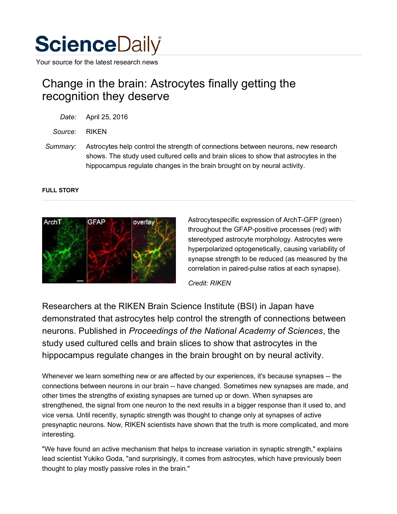

Your source for the latest research news

## Change in the brain: Astrocytes finally getting the recognition they deserve

| Date: | April 25, 2016 |  |
|-------|----------------|--|
|       |                |  |

*Source:* RIKEN

*Summary:* Astrocytes help control the strength of connections between neurons, new research shows. The study used cultured cells and brain slices to show that astrocytes in the hippocampus regulate changes in the brain brought on by neural activity.

## **FULL STORY**



Astrocytespecific expression of ArchT-GFP (green) throughout the GFAP-positive processes (red) with stereotyped astrocyte morphology. Astrocytes were hyperpolarized optogenetically, causing variability of synapse strength to be reduced (as measured by the correlation in paired-pulse ratios at each synapse).

*Credit: RIKEN*

Researchers at the RIKEN Brain Science Institute (BSI) in Japan have demonstrated that astrocytes help control the strength of connections between neurons. Published in *Proceedings of the National Academy of Sciences*, the study used cultured cells and brain slices to show that astrocytes in the hippocampus regulate changes in the brain brought on by neural activity.

Whenever we learn something new or are affected by our experiences, it's because synapses -- the connections between neurons in our brain -- have changed. Sometimes new synapses are made, and other times the strengths of existing synapses are turned up or down. When synapses are strengthened, the signal from one neuron to the next results in a bigger response than it used to, and vice versa. Until recently, synaptic strength was thought to change only at synapses of active presynaptic neurons. Now, RIKEN scientists have shown that the truth is more complicated, and more interesting.

"We have found an active mechanism that helps to increase variation in synaptic strength," explains lead scientist Yukiko Goda, "and surprisingly, it comes from astrocytes, which have previously been thought to play mostly passive roles in the brain."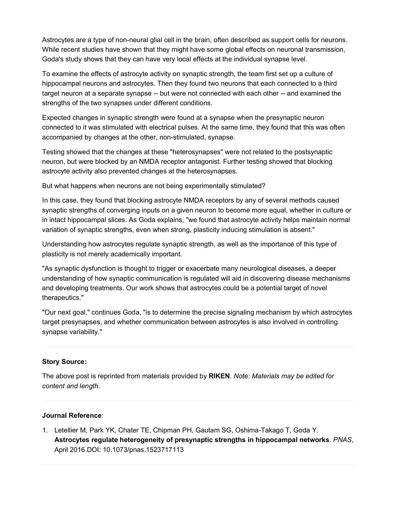Astrocytes are a type of non-neural glial cell in the brain, often described as support cells for neurons. While recent studies have shown that they might have some global effects on neuronal transmission, Goda's study shows that they can have very local effects at the individual synapse level.

To examine the effects of astrocyte activity on synaptic strength, the team first set up a culture of hippocampal neurons and astrocytes. Then they found two neurons that each connected to a third target neuron at a separate synapse -- but were not connected with each other -- and examined the strengths of the two synapses under different conditions.

Expected changes in synaptic strength were found at a synapse when the presynaptic neuron connected to it was stimulated with electrical pulses. At the same time, they found that this was often accompanied by changes at the other, non-stimulated, synapse.

Testing showed that the changes at these "heterosynapses" were not related to the postsynaptic neuron, but were blocked by an NMDA receptor antagonist. Further testing showed that blocking astrocyte activity also prevented changes at the heterosynapses.

But what happens when neurons are not being experimentally stimulated?

In this case, they found that blocking astrocyte NMDA receptors by any of several methods caused synaptic strengths of converging inputs on a given neuron to become more equal, whether in culture or in intact hippocampal slices. As Goda explains, "we found that astrocyte activity helps maintain normal variation of synaptic strengths, even when strong, plasticity inducing stimulation is absent."

Understanding how astrocytes regulate synaptic strength, as well as the importance of this type of plasticity is not merely academically important.

"As synaptic dysfunction is thought to trigger or exacerbate many neurological diseases, a deeper understanding of how synaptic communication is regulated will aid in discovering disease mechanisms and developing treatments. Our work shows that astrocytes could be a potential target of novel therapeutics."

"Our next goal," continues Goda, "is to determine the precise signaling mechanism by which astrocytes target presynapses, and whether communication between astrocytes is also involved in controlling synapse variability."

## **Story Source:**

The above post is reprinted from materials provided by **RIKEN**. *Note: Materials may be edited for content and length.*

## **Journal Reference**:

1. Letellier M, Park YK, Chater TE, Chipman PH, Gautam SG, Oshima-Takago T, Goda Y. **Astrocytes regulate heterogeneity of presynaptic strengths in hippocampal networks**. *PNAS*, April 2016 DOI: 10.1073/pnas.1523717113